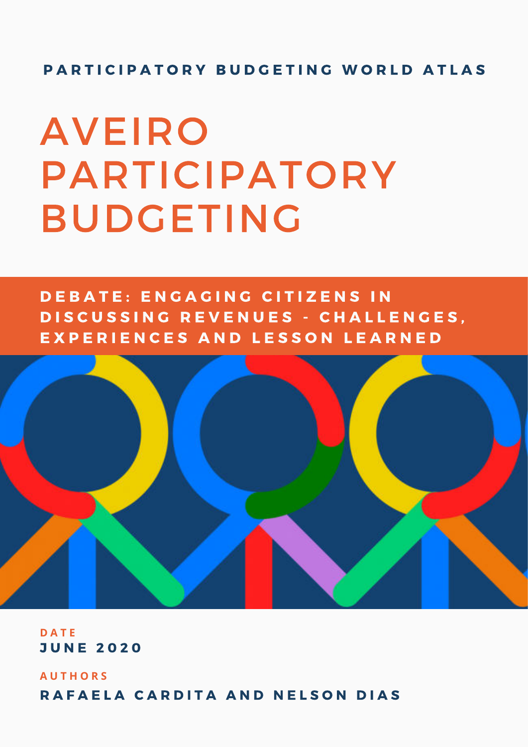### PARTICIPATORY BUDGETING WORLD ATLAS

# **AVEIRO PARTICIPATORY BUDGETING**

DEBATE: ENGAGING CITIZENS IN DISCUSSING REVENUES - CHALLENGES. EXPERIENCES AND LESSON LEARNED



**D A T E** J U N E 2 0 2 0

**A U T H O R S** RAFAELA CARDITA AND NELSON DIAS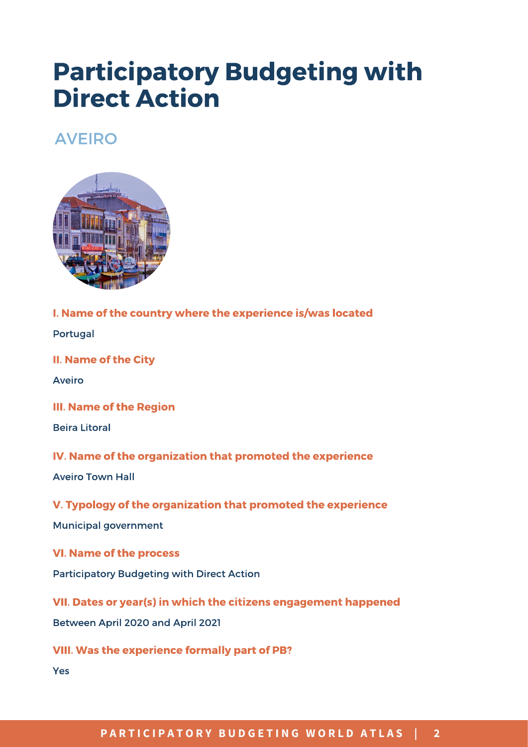# Participatory Budgeting with Direct Action

## AVEIRO



I. Name of the country where the experience is/was located

Portugal

II. Name of the City

Aveiro

III. Name of the Region

Beira Litoral

IV. Name of the organization that promoted the experience

Aveiro Town Hall

#### V. Typology of the organization that promoted the experience

Municipal government

VI. Name of the process

Participatory Budgeting with Direct Action

VII. Dates or year(s) in which the citizens engagement happened

Between April 2020 and April 2021

VIII. Was the experience formally part of PB?

Yes